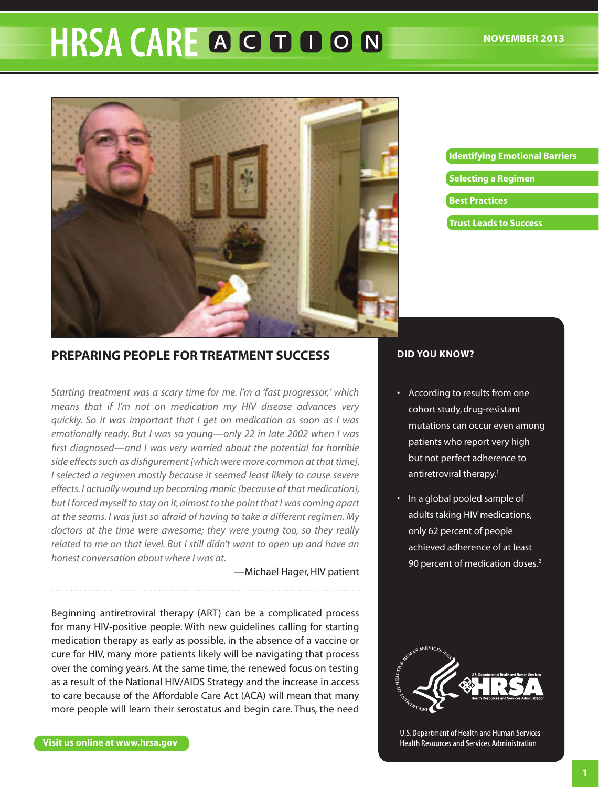# HRSA CARE A G D O N



# **[Identifying Emotional Barriers](#page-2-0) [Selecting a Regimen](#page-3-0) [Best Practices](#page-4-0) [Trust Leads to Success](#page-7-0)**

# **Preparing People for Treatment Success**

*Starting treatment was a scary time for me. I'm a 'fast progressor,' which means that if I'm not on medication my HIV disease advances very quickly. So it was important that I get on medication as soon as I was emotionally ready. But I was so young—only 22 in late 2002 when I was first diagnosed—and I was very worried about the potential for horrible side effects such as disfigurement [which were more common at that time]. I selected a regimen mostly because it seemed least likely to cause severe effects. I actually wound up becoming manic [because of that medication], but I forced myself to stay on it, almost to the point that I was coming apart at the seams. I was just so afraid of having to take a different regimen. My doctors at the time were awesome; they were young too, so they really related to me on that level. But I still didn't want to open up and have an honest conversation about where I was at.*

—Michael Hager, HIV patient

Beginning antiretroviral therapy (ART) can be a complicated process for many HIV-positive people. With new guidelines calling for starting medication therapy as early as possible, in the absence of a vaccine or cure for HIV, many more patients likely will be navigating that process over the coming years. At the same time, the renewed focus on testing as a result of the National HIV/AIDS Strategy and the increase in access to care because of the Affordable Care Act (ACA) will mean that many more people will learn their serostatus and begin care. Thus, the need

# **DID YOU KNOW?**

- • According to results from one cohort study, drug-resistant mutations can occur even among patients who report very high but not perfect adherence to antiretroviral therapy.<sup>1</sup>
- In a global pooled sample of adults taking HIV medications, only 62 percent of people achieved adherence of at least 90 percent of medication doses.<sup>2</sup>



U.S. Department of Health and Human Services **Health Resources and Services Administration**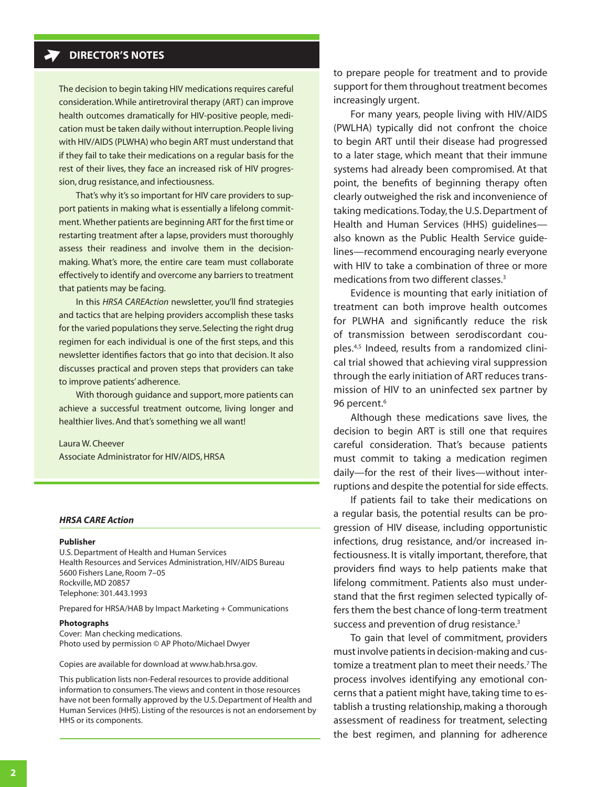The decision to begin taking HIV medications requires careful consideration. While antiretroviral therapy (ART) can improve health outcomes dramatically for HIV-positive people, medication must be taken daily without interruption. People living with HIV/AIDS (PLWHA) who begin ART must understand that if they fail to take their medications on a regular basis for the rest of their lives, they face an increased risk of HIV progression, drug resistance, and infectiousness.

That's why it's so important for HIV care providers to support patients in making what is essentially a lifelong commitment. Whether patients are beginning ART for the first time or restarting treatment after a lapse, providers must thoroughly assess their readiness and involve them in the decisionmaking. What's more, the entire care team must collaborate effectively to identify and overcome any barriers to treatment that patients may be facing.

In this *HRSA CAREAction* newsletter, you'll find strategies and tactics that are helping providers accomplish these tasks for the varied populations they serve. Selecting the right drug regimen for each individual is one of the first steps, and this newsletter identifies factors that go into that decision. It also discusses practical and proven steps that providers can take to improve patients' adherence.

With thorough guidance and support, more patients can achieve a successful treatment outcome, living longer and healthier lives. And that's something we all want!

Laura W. Cheever Associate Administrator for HIV/AIDS, HRSA

#### *HRSA CARE Action*

#### **Publisher**

U.S. Department of Health and Human Services Health Resources and Services Administration, HIV/AIDS Bureau 5600 Fishers Lane, Room 7–05 Rockville, MD 20857 Telephone: 301.443.1993

Prepared for HRSA/HAB by Impact Marketing + Communications

#### **Photographs**

Cover: Man checking medications. Photo used by permission © AP Photo/Michael Dwyer

Copies are available for download at [www.hab.hrsa.gov.](www.hab.hrsa.gov)

This publication lists non-Federal resources to provide additional information to consumers. The views and content in those resources have not been formally approved by the U.S. Department of Health and Human Services (HHS). Listing of the resources is not an endorsement by HHS or its components.

to prepare people for treatment and to provide support for them throughout treatment becomes increasingly urgent.

For many years, people living with HIV/AIDS (PWLHA) typically did not confront the choice to begin ART until their disease had progressed to a later stage, which meant that their immune systems had already been compromised. At that point, the benefits of beginning therapy often clearly outweighed the risk and inconvenience of taking medications. Today, the U.S. Department of Health and Human Services (HHS) guidelines also known as the Public Health Service guidelines—recommend encouraging nearly everyone with HIV to take a combination of three or more medications from two different classes.3

Evidence is mounting that early initiation of treatment can both improve health outcomes for PLWHA and significantly reduce the risk of transmission between serodiscordant couples.4,5 Indeed, results from a randomized clinical trial showed that achieving viral suppression through the early initiation of ART reduces transmission of HIV to an uninfected sex partner by 96 percent.<sup>6</sup>

Although these medications save lives, the decision to begin ART is still one that requires careful consideration. That's because patients must commit to taking a medication regimen daily—for the rest of their lives—without interruptions and despite the potential for side effects.

If patients fail to take their medications on a regular basis, the potential results can be progression of HIV disease, including opportunistic infections, drug resistance, and/or increased infectiousness. It is vitally important, therefore, that providers find ways to help patients make that lifelong commitment. Patients also must understand that the first regimen selected typically offers them the best chance of long-term treatment success and prevention of drug resistance.<sup>3</sup>

To gain that level of commitment, providers must involve patients in decision-making and customize a treatment plan to meet their needs.<sup>7</sup> The process involves identifying any emotional concerns that a patient might have, taking time to establish a trusting relationship, making a thorough assessment of readiness for treatment, selecting the best regimen, and planning for adherence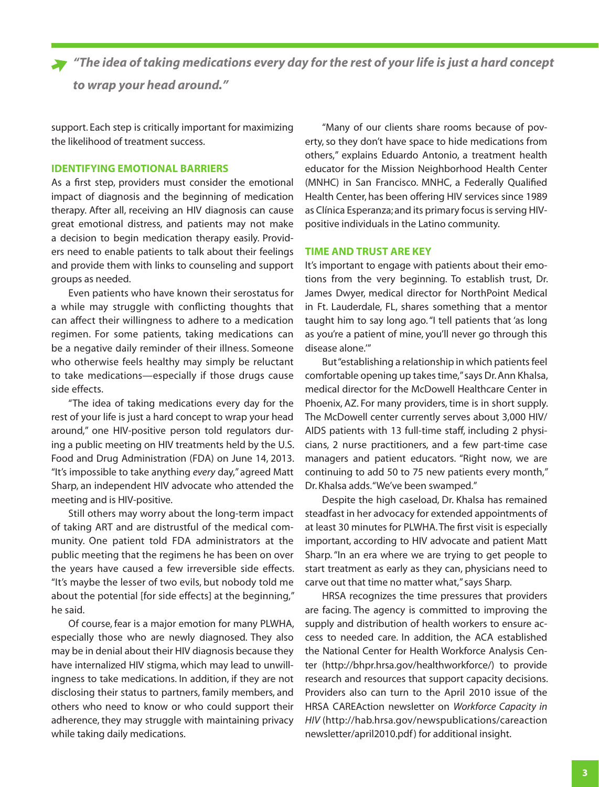<span id="page-2-0"></span>*"The idea of taking medications every day for the rest of your life is just a hard concept to wrap your head around."* 

support. Each step is critically important for maximizing the likelihood of treatment success.

#### **Identifying Emotional Barriers**

As a first step, providers must consider the emotional impact of diagnosis and the beginning of medication therapy. After all, receiving an HIV diagnosis can cause great emotional distress, and patients may not make a decision to begin medication therapy easily. Providers need to enable patients to talk about their feelings and provide them with links to counseling and support groups as needed.

Even patients who have known their serostatus for a while may struggle with conflicting thoughts that can affect their willingness to adhere to a medication regimen. For some patients, taking medications can be a negative daily reminder of their illness. Someone who otherwise feels healthy may simply be reluctant to take medications—especially if those drugs cause side effects.

"The idea of taking medications every day for the rest of your life is just a hard concept to wrap your head around," one HIV-positive person told regulators during a public meeting on HIV treatments held by the U.S. Food and Drug Administration (FDA) on June 14, 2013. "It's impossible to take anything *every* day," agreed Matt Sharp, an independent HIV advocate who attended the meeting and is HIV-positive.

Still others may worry about the long-term impact of taking ART and are distrustful of the medical community. One patient told FDA administrators at the public meeting that the regimens he has been on over the years have caused a few irreversible side effects. "It's maybe the lesser of two evils, but nobody told me about the potential [for side effects] at the beginning," he said.

Of course, fear is a major emotion for many PLWHA, especially those who are newly diagnosed. They also may be in denial about their HIV diagnosis because they have internalized HIV stigma, which may lead to unwillingness to take medications. In addition, if they are not disclosing their status to partners, family members, and others who need to know or who could support their adherence, they may struggle with maintaining privacy while taking daily medications.

"Many of our clients share rooms because of poverty, so they don't have space to hide medications from others," explains Eduardo Antonio, a treatment health educator for the Mission Neighborhood Health Center (MNHC) in San Francisco. MNHC, a Federally Qualified Health Center, has been offering HIV services since 1989 as Clínica Esperanza; and its primary focus is serving HIVpositive individuals in the Latino community.

#### **Time and Trust Are Key**

It's important to engage with patients about their emotions from the very beginning. To establish trust, Dr. James Dwyer, medical director for NorthPoint Medical in Ft. Lauderdale, FL, shares something that a mentor taught him to say long ago. "I tell patients that 'as long as you're a patient of mine, you'll never go through this disease alone.'"

But "establishing a relationship in which patients feel comfortable opening up takes time," says Dr. Ann Khalsa, medical director for the McDowell Healthcare Center in Phoenix, AZ. For many providers, time is in short supply. The McDowell center currently serves about 3,000 HIV/ AIDS patients with 13 full-time staff, including 2 physicians, 2 nurse practitioners, and a few part-time case managers and patient educators. "Right now, we are continuing to add 50 to 75 new patients every month," Dr. Khalsa adds. "We've been swamped."

Despite the high caseload, Dr. Khalsa has remained steadfast in her advocacy for extended appointments of at least 30 minutes for PLWHA. The first visit is especially important, according to HIV advocate and patient Matt Sharp. "In an era where we are trying to get people to start treatment as early as they can, physicians need to carve out that time no matter what," says Sharp.

HRSA recognizes the time pressures that providers are facing. The agency is committed to improving the supply and distribution of health workers to ensure access to needed care. In addition, the ACA established the National Center for Health Workforce Analysis Center [\(http://bhpr.hrsa.gov/healthworkforce/](http://bhpr.hrsa.gov/healthworkforce/)) to provide research and resources that support capacity decisions. Providers also can turn to the April 2010 issue of the HRSA CAREAction newsletter on *Workforce Capacity in HIV* ([http://hab.hrsa.gov/newspublications/careaction](http://hab.hrsa.gov/newspublications/careactionnewsletter/april2010.pdf) [newsletter/april2010.pdf](http://hab.hrsa.gov/newspublications/careactionnewsletter/april2010.pdf)) for additional insight.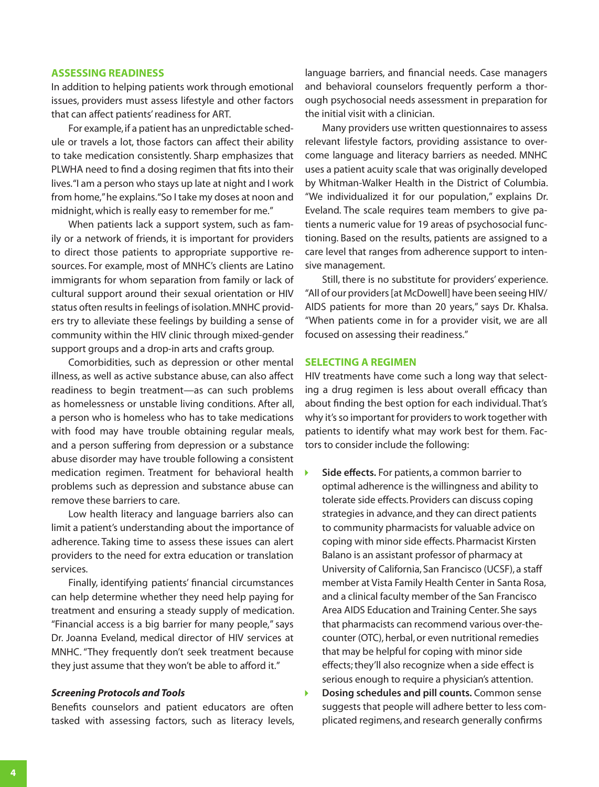#### <span id="page-3-0"></span>**Assessing Readiness**

In addition to helping patients work through emotional issues, providers must assess lifestyle and other factors that can affect patients' readiness for ART.

For example, if a patient has an unpredictable schedule or travels a lot, those factors can affect their ability to take medication consistently. Sharp emphasizes that PLWHA need to find a dosing regimen that fits into their lives. "I am a person who stays up late at night and I work from home," he explains. "So I take my doses at noon and midnight, which is really easy to remember for me."

When patients lack a support system, such as family or a network of friends, it is important for providers to direct those patients to appropriate supportive resources. For example, most of MNHC's clients are Latino immigrants for whom separation from family or lack of cultural support around their sexual orientation or HIV status often results in feelings of isolation. MNHC providers try to alleviate these feelings by building a sense of community within the HIV clinic through mixed-gender support groups and a drop-in arts and crafts group.

Comorbidities, such as depression or other mental illness, as well as active substance abuse, can also affect readiness to begin treatment—as can such problems as homelessness or unstable living conditions. After all, a person who is homeless who has to take medications with food may have trouble obtaining regular meals, and a person suffering from depression or a substance abuse disorder may have trouble following a consistent medication regimen. Treatment for behavioral health problems such as depression and substance abuse can remove these barriers to care.

Low health literacy and language barriers also can limit a patient's understanding about the importance of adherence. Taking time to assess these issues can alert providers to the need for extra education or translation services.

Finally, identifying patients' financial circumstances can help determine whether they need help paying for treatment and ensuring a steady supply of medication. "Financial access is a big barrier for many people," says Dr. Joanna Eveland, medical director of HIV services at MNHC. "They frequently don't seek treatment because they just assume that they won't be able to afford it."

#### *Screening Protocols and Tools*

Benefits counselors and patient educators are often tasked with assessing factors, such as literacy levels,

language barriers, and financial needs. Case managers and behavioral counselors frequently perform a thorough psychosocial needs assessment in preparation for the initial visit with a clinician.

Many providers use written questionnaires to assess relevant lifestyle factors, providing assistance to overcome language and literacy barriers as needed. MNHC uses a patient acuity scale that was originally developed by Whitman-Walker Health in the District of Columbia. "We individualized it for our population," explains Dr. Eveland. The scale requires team members to give patients a numeric value for 19 areas of psychosocial functioning. Based on the results, patients are assigned to a care level that ranges from adherence support to intensive management.

Still, there is no substitute for providers' experience. "All of our providers [at McDowell] have been seeing HIV/ AIDS patients for more than 20 years," says Dr. Khalsa. "When patients come in for a provider visit, we are all focused on assessing their readiness."

#### **Selecting a Regimen**

HIV treatments have come such a long way that selecting a drug regimen is less about overall efficacy than about finding the best option for each individual. That's why it's so important for providers to work together with patients to identify what may work best for them. Factors to consider include the following:

- **Side effects.** For patients, a common barrier to  $\blacktriangleright$ optimal adherence is the willingness and ability to tolerate side effects. Providers can discuss coping strategies in advance, and they can direct patients to community pharmacists for valuable advice on coping with minor side effects. Pharmacist Kirsten Balano is an assistant professor of pharmacy at University of California, San Francisco (UCSF), a staff member at Vista Family Health Center in Santa Rosa, and a clinical faculty member of the San Francisco Area AIDS Education and Training Center. She says that pharmacists can recommend various over-thecounter (OTC), herbal, or even nutritional remedies that may be helpful for coping with minor side effects; they'll also recognize when a side effect is serious enough to require a physician's attention.
- $\blacktriangleright$ **Dosing schedules and pill counts.** Common sense suggests that people will adhere better to less complicated regimens, and research generally confirms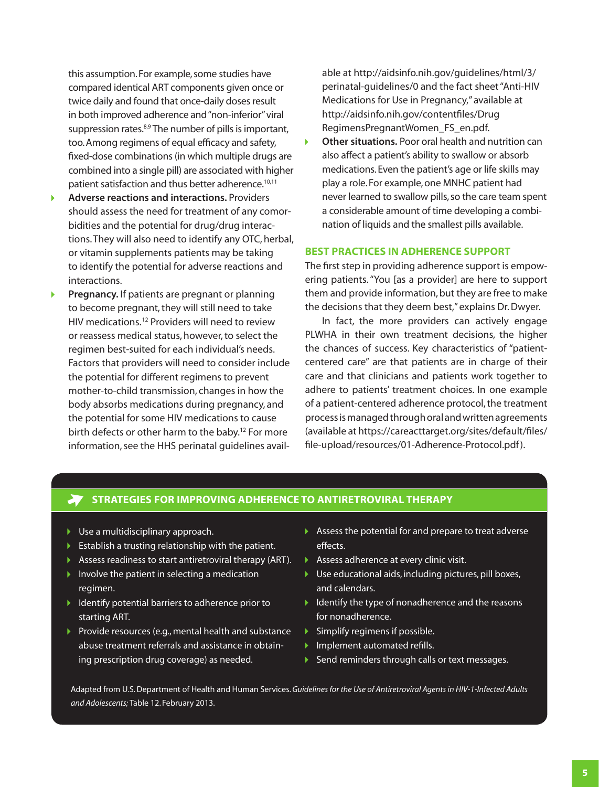<span id="page-4-0"></span>this assumption. For example, some studies have compared identical ART components given once or twice daily and found that once-daily doses result in both improved adherence and "non-inferior" viral suppression rates.<sup>8,9</sup> The number of pills is important, too. Among regimens of equal efficacy and safety, fixed-dose combinations (in which multiple drugs are combined into a single pill) are associated with higher patient satisfaction and thus better adherence.<sup>10,11</sup>

- **Adverse reactions and interactions.** Providers should assess the need for treatment of any comorbidities and the potential for drug/drug interactions. They will also need to identify any OTC, herbal, or vitamin supplements patients may be taking to identify the potential for adverse reactions and interactions.
- **Pregnancy.** If patients are pregnant or planning to become pregnant, they will still need to take HIV medications. 12 Providers will need to review or reassess medical status, however, to select the regimen best-suited for each individual's needs. Factors that providers will need to consider include the potential for different regimens to prevent mother-to-child transmission, changes in how the body absorbs medications during pregnancy, and the potential for some HIV medications to cause birth defects or other harm to the baby.<sup>12</sup> For more information, see the HHS perinatal guidelines avail-

able at [http://aidsinfo.nih.gov/guidelines/html/3/](http://aidsinfo.nih.gov/guidelines/html/3/perinatal-guidelines/0) [perinatal-guidelines/0](http://aidsinfo.nih.gov/guidelines/html/3/perinatal-guidelines/0) and the fact sheet "Anti-HIV Medications for Use in Pregnancy," available at [http://aidsinfo.nih.gov/contentfiles/Drug](http://aidsinfo.nih.gov/contentfiles/DrugRegimensPregnantWomen_FS_en.pdf) [RegimensPregnantWomen\\_FS\\_en.pdf](http://aidsinfo.nih.gov/contentfiles/DrugRegimensPregnantWomen_FS_en.pdf).

 $\blacktriangleright$ **Other situations.** Poor oral health and nutrition can also affect a patient's ability to swallow or absorb medications. Even the patient's age or life skills may play a role. For example, one MNHC patient had never learned to swallow pills, so the care team spent a considerable amount of time developing a combination of liquids and the smallest pills available.

#### **Best Practices in Adherence Support**

The first step in providing adherence support is empowering patients. "You [as a provider] are here to support them and provide information, but they are free to make the decisions that they deem best," explains Dr. Dwyer.

In fact, the more providers can actively engage PLWHA in their own treatment decisions, the higher the chances of success. Key characteristics of "patientcentered care" are that patients are in charge of their care and that clinicians and patients work together to adhere to patients' treatment choices. In one example of a patient-centered adherence protocol, the treatment process is managed through oral and written agreements (available at [https://careacttarget.org/sites/default/files/](https://careacttarget.org/sites/default/files/file-upload/resources/01-Adherence-Protocol.pdf) [file-upload/resources/01-Adherence-Protocol.pdf](https://careacttarget.org/sites/default/files/file-upload/resources/01-Adherence-Protocol.pdf)).

## **Strategies for Improving Adherence to Antiretroviral Therapy**

- ▶ Use a multidisciplinary approach.
- $\blacktriangleright$  Establish a trusting relationship with the patient.
- Assess readiness to start antiretroviral therapy (ART).
- Involve the patient in selecting a medication regimen.
- $\blacktriangleright$  Identify potential barriers to adherence prior to starting ART.
- Provide resources (e.g., mental health and substance abuse treatment referrals and assistance in obtaining prescription drug coverage) as needed.
- Assess the potential for and prepare to treat adverse effects.
- Assess adherence at every clinic visit.
- Use educational aids, including pictures, pill boxes, and calendars.
- $\blacktriangleright$  Identify the type of nonadherence and the reasons for nonadherence.
- Simplify regimens if possible.
- **Implement automated refills.**
- Send reminders through calls or text messages.

Adapted from U.S. Department of Health and Human Services. *Guidelines for the Use of Antiretroviral Agents in HIV-1-Infected Adults and Adolescents;* Table 12. February 2013.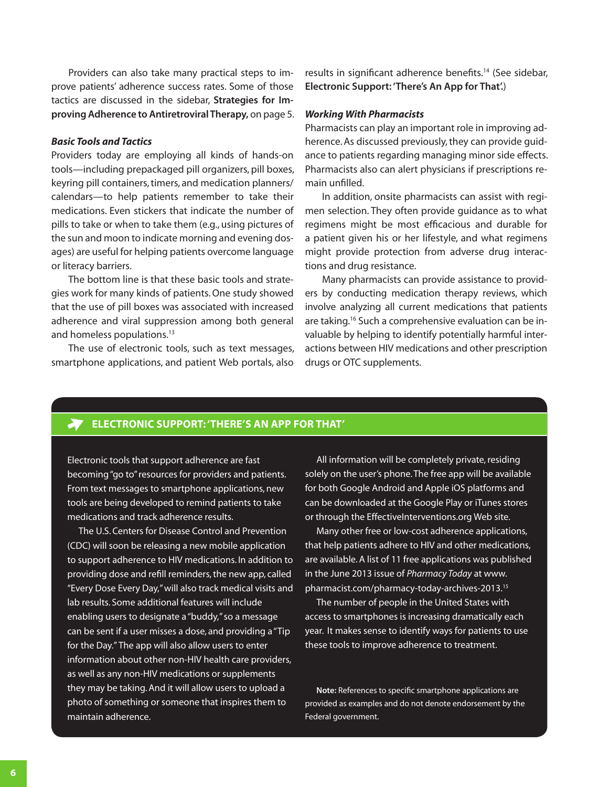Providers can also take many practical steps to improve patients' adherence success rates. Some of those tactics are discussed in the sidebar, **[Strategies for Im](#page-4-0)[proving Adherence to Antiretroviral Therapy,](#page-4-0)** on page 5.

#### *Basic Tools and Tactics*

Providers today are employing all kinds of hands-on tools—including prepackaged pill organizers, pill boxes, keyring pill containers, timers, and medication planners/ calendars—to help patients remember to take their medications. Even stickers that indicate the number of pills to take or when to take them (e.g., using pictures of the sun and moon to indicate morning and evening dosages) are useful for helping patients overcome language or literacy barriers.

The bottom line is that these basic tools and strategies work for many kinds of patients. One study showed that the use of pill boxes was associated with increased adherence and viral suppression among both general and homeless populations.<sup>13</sup>

The use of electronic tools, such as text messages, smartphone applications, and patient Web portals, also

results in significant adherence benefits.<sup>14</sup> (See sidebar, **Electronic Support: 'There's An App for That'.**)

#### *Working With Pharmacists*

Pharmacists can play an important role in improving adherence. As discussed previously, they can provide guidance to patients regarding managing minor side effects. Pharmacists also can alert physicians if prescriptions remain unfilled.

In addition, onsite pharmacists can assist with regimen selection. They often provide guidance as to what regimens might be most efficacious and durable for a patient given his or her lifestyle, and what regimens might provide protection from adverse drug interactions and drug resistance.

Many pharmacists can provide assistance to providers by conducting medication therapy reviews, which involve analyzing all current medications that patients are taking.<sup>16</sup> Such a comprehensive evaluation can be invaluable by helping to identify potentially harmful interactions between HIV medications and other prescription drugs or OTC supplements.

# **Electronic Support: 'There's An App for That'**

Electronic tools that support adherence are fast becoming "go to" resources for providers and patients. From text messages to smartphone applications, new tools are being developed to remind patients to take medications and track adherence results.

The U.S. Centers for Disease Control and Prevention (CDC) will soon be releasing a new mobile application to support adherence to HIV medications. In addition to providing dose and refill reminders, the new app, called "Every Dose Every Day," will also track medical visits and lab results. Some additional features will include enabling users to designate a "buddy," so a message can be sent if a user misses a dose, and providing a "Tip for the Day." The app will also allow users to enter information about other non-HIV health care providers, as well as any non-HIV medications or supplements they may be taking. And it will allow users to upload a photo of something or someone that inspires them to maintain adherence.

All information will be completely private, residing solely on the user's phone. The free app will be available for both Google Android and Apple iOS platforms and can be downloaded at the Google Play or iTunes stores or through the EffectiveInterventions.org Web site.

Many other free or low-cost adherence applications, that help patients adhere to HIV and other medications, are available. A list of 11 free applications was published in the June 2013 issue of *Pharmacy Today* at [www.](www.pharmacist.com/pharmacy-today-archives-2013) [pharmacist.com/pharmacy-today-archives-2013.](www.pharmacist.com/pharmacy-today-archives-2013)15

The number of people in the United States with access to smartphones is increasing dramatically each year. It makes sense to identify ways for patients to use these tools to improve adherence to treatment.

**Note:** References to specific smartphone applications are provided as examples and do not denote endorsement by the Federal government.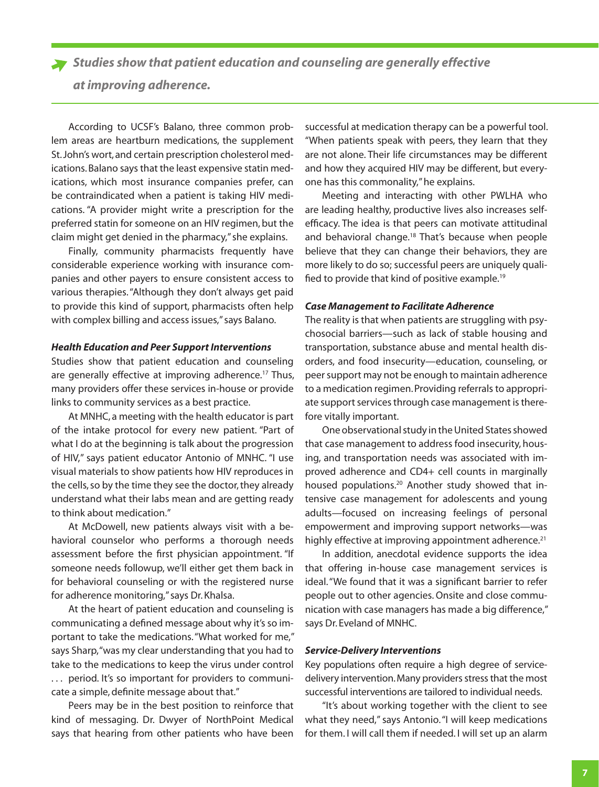*Studies show that patient education and counseling are generally effective* 

*at improving adherence.*

According to UCSF's Balano, three common problem areas are heartburn medications, the supplement St.John's wort, and certain prescription cholesterol medications. Balano says that the least expensive statin medications, which most insurance companies prefer, can be contraindicated when a patient is taking HIV medications. "A provider might write a prescription for the preferred statin for someone on an HIV regimen, but the claim might get denied in the pharmacy," she explains.

Finally, community pharmacists frequently have considerable experience working with insurance companies and other payers to ensure consistent access to various therapies. "Although they don't always get paid to provide this kind of support, pharmacists often help with complex billing and access issues," says Balano.

#### *Health Education and Peer Support Interventions*

Studies show that patient education and counseling are generally effective at improving adherence.<sup>17</sup> Thus, many providers offer these services in-house or provide links to community services as a best practice.

At MNHC, a meeting with the health educator is part of the intake protocol for every new patient. "Part of what I do at the beginning is talk about the progression of HIV," says patient educator Antonio of MNHC. "I use visual materials to show patients how HIV reproduces in the cells, so by the time they see the doctor, they already understand what their labs mean and are getting ready to think about medication."

At McDowell, new patients always visit with a behavioral counselor who performs a thorough needs assessment before the first physician appointment. "If someone needs followup, we'll either get them back in for behavioral counseling or with the registered nurse for adherence monitoring," says Dr. Khalsa.

At the heart of patient education and counseling is communicating a defined message about why it's so important to take the medications. "What worked for me," says Sharp, "was my clear understanding that you had to take to the medications to keep the virus under control . . . period. It's so important for providers to communicate a simple, definite message about that."

Peers may be in the best position to reinforce that kind of messaging. Dr. Dwyer of NorthPoint Medical says that hearing from other patients who have been

successful at medication therapy can be a powerful tool. "When patients speak with peers, they learn that they are not alone. Their life circumstances may be different and how they acquired HIV may be different, but everyone has this commonality," he explains.

Meeting and interacting with other PWLHA who are leading healthy, productive lives also increases selfefficacy. The idea is that peers can motivate attitudinal and behavioral change.<sup>18</sup> That's because when people believe that they can change their behaviors, they are more likely to do so; successful peers are uniquely qualified to provide that kind of positive example.<sup>19</sup>

#### *Case Management to Facilitate Adherence*

The reality is that when patients are struggling with psychosocial barriers—such as lack of stable housing and transportation, substance abuse and mental health disorders, and food insecurity—education, counseling, or peer support may not be enough to maintain adherence to a medication regimen. Providing referrals to appropriate support services through case management is therefore vitally important.

One observational study in the United States showed that case management to address food insecurity, housing, and transportation needs was associated with improved adherence and CD4+ cell counts in marginally housed populations.<sup>20</sup> Another study showed that intensive case management for adolescents and young adults—focused on increasing feelings of personal empowerment and improving support networks—was highly effective at improving appointment adherence.<sup>21</sup>

In addition, anecdotal evidence supports the idea that offering in-house case management services is ideal. "We found that it was a significant barrier to refer people out to other agencies. Onsite and close communication with case managers has made a big difference," says Dr. Eveland of MNHC.

#### *Service-Delivery Interventions*

Key populations often require a high degree of servicedelivery intervention. Many providers stress that the most successful interventions are tailored to individual needs.

"It's about working together with the client to see what they need," says Antonio. "I will keep medications for them. I will call them if needed. I will set up an alarm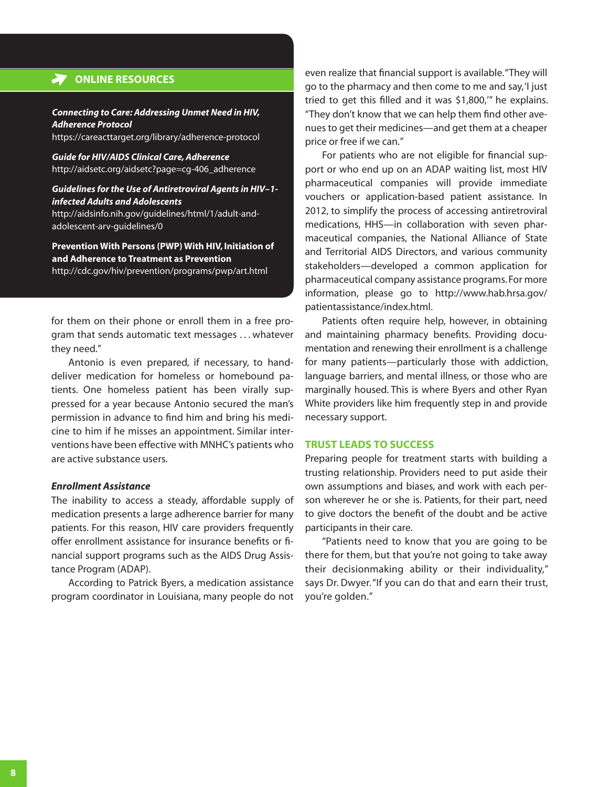#### <span id="page-7-0"></span>**ONLINE RESOURCES**

#### *Connecting to Care: Addressing Unmet Need in HIV, Adherence Protocol*

https://careacttarget.org/library/adherence-protocol

*Guide for HIV/AIDS Clinical Care, Adherence*  http://aidsetc.org/aidsetc?page=cg-406\_adherence

#### *Guidelines for the Use of Antiretroviral Agents in HIV–1 infected Adults and Adolescents*

http://aidsinfo.nih.gov/guidelines/html/1/adult-andadolescent-arv-guidelines/0

**Prevention With Persons (PWP) With HIV, Initiation of and Adherence to Treatment as Prevention** http://cdc.gov/hiv/prevention/programs/pwp/art.html

for them on their phone or enroll them in a free program that sends automatic text messages . . . whatever they need."

Antonio is even prepared, if necessary, to handdeliver medication for homeless or homebound patients. One homeless patient has been virally suppressed for a year because Antonio secured the man's permission in advance to find him and bring his medicine to him if he misses an appointment. Similar interventions have been effective with MNHC's patients who are active substance users.

#### *Enrollment Assistance*

The inability to access a steady, affordable supply of medication presents a large adherence barrier for many patients. For this reason, HIV care providers frequently offer enrollment assistance for insurance benefits or financial support programs such as the AIDS Drug Assistance Program (ADAP).

According to Patrick Byers, a medication assistance program coordinator in Louisiana, many people do not even realize that financial support is available. "They will go to the pharmacy and then come to me and say, 'I just tried to get this filled and it was \$1,800,'" he explains. "They don't know that we can help them find other avenues to get their medicines—and get them at a cheaper price or free if we can."

For patients who are not eligible for financial support or who end up on an ADAP waiting list, most HIV pharmaceutical companies will provide immediate vouchers or application-based patient assistance. In 2012, to simplify the process of accessing antiretroviral medications, HHS—in collaboration with seven pharmaceutical companies, the National Alliance of State and Territorial AIDS Directors, and various community stakeholders—developed a common application for pharmaceutical company assistance programs. For more information, please go to [http://www.hab.hrsa.gov/](http://www.hab.hrsa.gov/patientassistance/index.html) [patientassistance/index.html](http://www.hab.hrsa.gov/patientassistance/index.html).

Patients often require help, however, in obtaining and maintaining pharmacy benefits. Providing documentation and renewing their enrollment is a challenge for many patients—particularly those with addiction, language barriers, and mental illness, or those who are marginally housed. This is where Byers and other Ryan White providers like him frequently step in and provide necessary support.

#### **Trust Leads to Success**

Preparing people for treatment starts with building a trusting relationship. Providers need to put aside their own assumptions and biases, and work with each person wherever he or she is. Patients, for their part, need to give doctors the benefit of the doubt and be active participants in their care.

"Patients need to know that you are going to be there for them, but that you're not going to take away their decisionmaking ability or their individuality," says Dr. Dwyer. "If you can do that and earn their trust, you're golden."